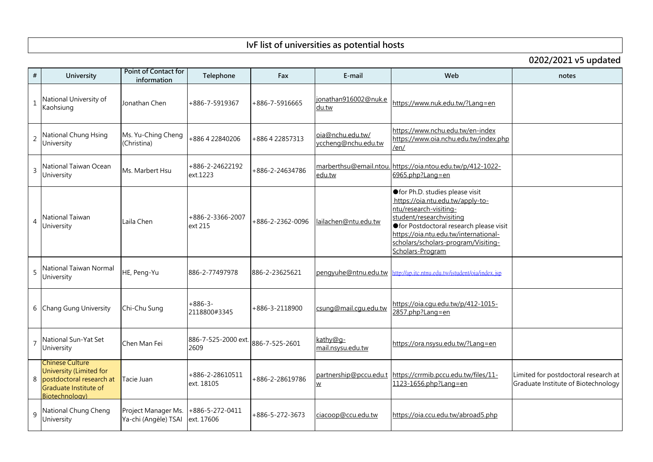| #              | <b>University</b>                                                                                                        | <b>Point of Contact for</b><br>information  | Telephone                     | Fax              | E-mail                                             | Web                                                                                                                                                                                                                                                                        | notes                                          |
|----------------|--------------------------------------------------------------------------------------------------------------------------|---------------------------------------------|-------------------------------|------------------|----------------------------------------------------|----------------------------------------------------------------------------------------------------------------------------------------------------------------------------------------------------------------------------------------------------------------------------|------------------------------------------------|
| $\mathbf{1}$   | National University of<br>Kaohsiung                                                                                      | Jonathan Chen                               | +886-7-5919367                | +886-7-5916665   | jonathan916002@nuk.e<br>du.tw                      | https://www.nuk.edu.tw/?Lang=en                                                                                                                                                                                                                                            |                                                |
| $\overline{2}$ | National Chung Hsing<br>University                                                                                       | Ms. Yu-Ching Cheng<br>(Christina)           | +886422840206                 | +886422857313    | oia@nchu.edu.tw/<br>yccheng@nchu.edu.tw            | https://www.nchu.edu.tw/en-index<br>https://www.oia.nchu.edu.tw/index.php<br>/en/                                                                                                                                                                                          |                                                |
| $\overline{3}$ | National Taiwan Ocean<br>University                                                                                      | Ms. Marbert Hsu                             | +886-2-24622192<br>ext.1223   | +886-2-24634786  | marberthsu@email.ntou.<br>edu.tw                   | https://oia.ntou.edu.tw/p/412-1022-<br>$6965$ .php?Lang=en                                                                                                                                                                                                                 |                                                |
| $\overline{4}$ | National Taiwan<br>University                                                                                            | Laila Chen                                  | +886-2-3366-2007<br>ext 215   | +886-2-2362-0096 | lailachen@ntu.edu.tw                               | ● for Ph.D. studies please visit<br>https://oia.ntu.edu.tw/apply-to-<br>ntu/research-visiting-<br>student/researchvisiting<br>● for Postdoctoral research please visit<br>https://oia.ntu.edu.tw/international-<br>scholars/scholars-program/Visiting-<br>Scholars-Program |                                                |
| 5              | National Taiwan Normal<br>University                                                                                     | HE, Peng-Yu                                 | 886-2-77497978                | 886-2-23625621   | pengyuhe@ntnu.edu.tw                               | http://ap.itc.ntnu.edu.tw/istudent/oia/index.jsp                                                                                                                                                                                                                           |                                                |
| 6              | <b>Chang Gung University</b>                                                                                             | Chi-Chu Sung                                | $+886-3-$<br>2118800#3345     | +886-3-2118900   | csung@mail.cqu.edu.tw                              | https://oia.cgu.edu.tw/p/412-1015-<br>2857.php?Lang=en                                                                                                                                                                                                                     |                                                |
|                | National Sun-Yat Set<br>University                                                                                       | Chen Man Fei                                | 886-7-525-2000 ext.<br>2609   | 886-7-525-2601   | kathy@g-<br>mail.nsysu.edu.tw                      | https://ora.nsysu.edu.tw/?Lang=en                                                                                                                                                                                                                                          |                                                |
| 8              | <b>Chinese Culture</b><br>University (Limited for<br>postdoctoral research at<br>Graduate Institute of<br>Biotechnology) | Tacie Juan                                  | +886-2-28610511<br>ext. 18105 | +886-2-28619786  | partnership@pccu.edu.t<br>$\underline{\mathsf{W}}$ | https://crrmib.pccu.edu.tw/files/11-<br>1123-1656.php?Lang=en                                                                                                                                                                                                              | Limited for postdocto<br>Graduate Institute of |
| 9              | National Chung Cheng<br>University                                                                                       | Project Manager Ms.<br>Ya-chi (Angèle) TSAI | +886-5-272-0411<br>ext. 17606 | +886-5-272-3673  | ciacoop@ccu.edu.tw                                 | https://oia.ccu.edu.tw/abroad5.php                                                                                                                                                                                                                                         |                                                |

| 0202/2021 v5 updated             |                                                                             |  |  |  |  |  |  |
|----------------------------------|-----------------------------------------------------------------------------|--|--|--|--|--|--|
|                                  | notes                                                                       |  |  |  |  |  |  |
| Ī                                |                                                                             |  |  |  |  |  |  |
| <u>s</u><br>sty                  |                                                                             |  |  |  |  |  |  |
| $\overline{2}$                   |                                                                             |  |  |  |  |  |  |
| visit<br><u>il-</u><br><u>g-</u> |                                                                             |  |  |  |  |  |  |
| jsp                              |                                                                             |  |  |  |  |  |  |
|                                  |                                                                             |  |  |  |  |  |  |
| <u>ן</u>                         |                                                                             |  |  |  |  |  |  |
|                                  | Limited for postdoctoral research at<br>Graduate Institute of Biotechnology |  |  |  |  |  |  |
| p                                |                                                                             |  |  |  |  |  |  |

## **IvF list of universities as potential hosts**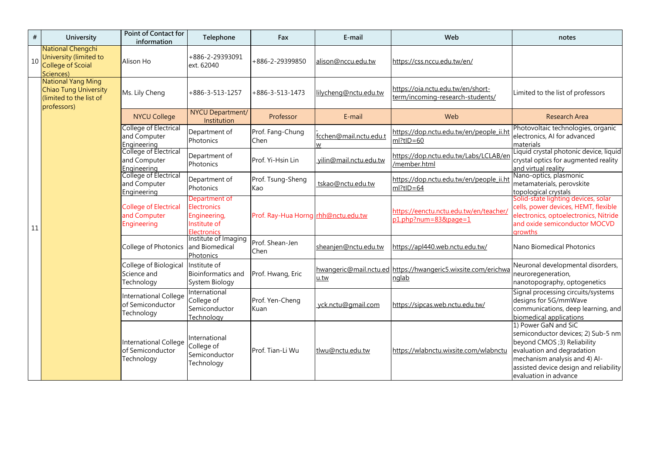| #  | <b>University</b>                                                                                   | <b>Point of Contact for</b><br>information                         | Telephone                                                                | Fax                                 | E-mail                      | Web                                                                    | notes                                                                                                                                                                                                                       |
|----|-----------------------------------------------------------------------------------------------------|--------------------------------------------------------------------|--------------------------------------------------------------------------|-------------------------------------|-----------------------------|------------------------------------------------------------------------|-----------------------------------------------------------------------------------------------------------------------------------------------------------------------------------------------------------------------------|
| 10 | National Chengchi<br>University (limited to<br><b>College of Scoial</b><br>Sciences)                | Alison Ho                                                          | +886-2-29393091<br>ext. 62040                                            | +886-2-29399850                     | alison@nccu.edu.tw          | https://css.nccu.edu.tw/en/                                            |                                                                                                                                                                                                                             |
|    | <b>National Yang Ming</b><br><b>Chiao Tung University</b><br>(limited to the list of<br>professors) | Ms. Lily Cheng                                                     | $+886-3-513-1257$                                                        | $+886-3-513-1473$                   | lilycheng@nctu.edu.tw       | https://oia.nctu.edu.tw/en/short-<br>term/incoming-research-students/  | Limited to the list of professors                                                                                                                                                                                           |
|    |                                                                                                     | <b>NYCU College</b>                                                | NYCU Department/<br>Institution                                          | Professor                           | E-mail                      | Web                                                                    | <b>Research Area</b>                                                                                                                                                                                                        |
|    |                                                                                                     | College of Electrical<br>and Computer<br>Engineering               | Department of<br>Photonics                                               | Prof. Fang-Chung<br>Chen            | fcchen@mail.nctu.edu.t<br>W | https://dop.nctu.edu.tw/en/people_ii.ht<br>$ml?tlD=60$                 | Photovoltaic technologies, organic<br>electronics, AI for advanced<br>materials                                                                                                                                             |
| 11 |                                                                                                     | <b>College of Electrical</b><br>and Computer<br>Engineering        | Department of<br>Photonics                                               | Prof. Yi-Hsin Lin                   | vilin@mail.nctu.edu.tw      | https://dop.nctu.edu.tw/Labs/LCLAB/en<br>/member.html                  | Liquid crystal photonic device, liquid<br>crystal optics for augmented reality<br>and virtual reality                                                                                                                       |
|    |                                                                                                     | College of Electrical<br>and Computer<br>Engineering               | Department of<br>Photonics                                               | Prof. Tsung-Sheng<br>Kao            | tskao@nctu.edu.tw           | https://dop.nctu.edu.tw/en/people_ii.ht<br>$ml?tID=64$                 | Nano-optics, plasmonic<br>metamaterials, perovskite<br>topological crystals                                                                                                                                                 |
|    |                                                                                                     | <b>College of Electrical</b><br>and Computer<br>Engineering        | Department of<br><b>Electronics</b><br>Engineering,<br>Institute of      | Prof. Ray-Hua Horng rhh@nctu.edu.tw |                             | https://eenctu.nctu.edu.tw/en/teacher/<br>p1.php?num=83&page=1         | Solid-state lighting devices, solar<br>cells, power devices, HEMT, flexible<br>electronics, optoelectronics, Nitride<br>and oxide semiconductor MOCVD<br>growths                                                            |
|    |                                                                                                     | College of Photonics   and Biomedical                              | Electronics<br> Institute of Imaging<br>Photonics                        | Prof. Shean-Jen<br><b>Chen</b>      | <u>sheanjen@nctu.edu.tw</u> | https://apl440.web.nctu.edu.tw/                                        | Nano Biomedical Photonics                                                                                                                                                                                                   |
|    |                                                                                                     | College of Biological<br>Science and<br>Technology                 | Institute of<br>Bioinformatics and   Prof. Hwang, Eric<br>System Biology |                                     | u.tw                        | hwangeric@mail.nctu.ed https://hwangeric5.wixsite.com/erichwa<br>nglab | Neuronal developmental disorders,<br>neuroregeneration,<br>nanotopography, optogenetics                                                                                                                                     |
|    |                                                                                                     | International College College of<br>of Semiconductor<br>Technology | International<br>Semiconductor<br>Technology                             | Prof. Yen-Cheng<br>Kuan             | yck.nctu@gmail.com          | https://sipcas.web.nctu.edu.tw/                                        | Signal processing circuits/systems<br>designs for 5G/mmWave<br>communications, deep learning, and<br>biomedical applications                                                                                                |
|    |                                                                                                     | International College  <br>of Semiconductor<br>Technology          | International<br>College of<br>Semiconductor<br>Technology               | Prof. Tian-Li Wu                    | tlwu@nctu.edu.tw            | https://wlabnctu.wixsite.com/wlabnctu                                  | 1) Power GaN and SiC<br>semiconductor devices; 2) Sub-5 nm<br>beyond CMOS ;3) Reliability<br>evaluation and degradation<br>mechanism analysis and 4) AI-<br>assisted device design and reliability<br>evaluation in advance |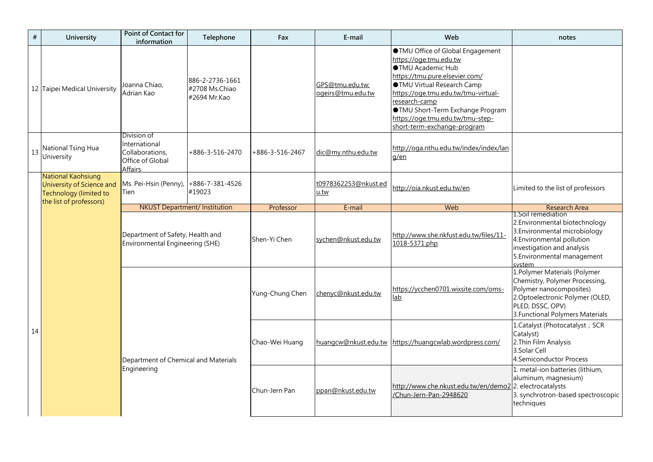| #  | <b>University</b>                                                                                           | <b>Point of Contact for</b><br>information                                            | Telephone                                         | Fax             | E-mail                               | Web                                                                                                                                                                                                                                                                                                                                 | notes                                                                                                                                                                                       |
|----|-------------------------------------------------------------------------------------------------------------|---------------------------------------------------------------------------------------|---------------------------------------------------|-----------------|--------------------------------------|-------------------------------------------------------------------------------------------------------------------------------------------------------------------------------------------------------------------------------------------------------------------------------------------------------------------------------------|---------------------------------------------------------------------------------------------------------------------------------------------------------------------------------------------|
|    | 12 Taipei Medical University                                                                                | Joanna Chiao,<br>Adrian Kao                                                           | 886-2-2736-1661<br>#2708 Ms.Chiao<br>#2694 Mr.Kao |                 | GPS@tmu.edu.tw;<br>ogeirs@tmu.edu.tw | <b>OTMU Office of Global Engagement</b><br>https://oge.tmu.edu.tw<br><b>OTMU Academic Hub</b><br>https://tmu.pure.elsevier.com/<br>●TMU Virtual Research Camp<br>https://oge.tmu.edu.tw/tmu-virtual-<br>research-camp<br><b>OTMU Short-Term Exchange Program</b><br>https://oge.tmu.edu.tw/tmu-step-<br>short-term-exchange-program |                                                                                                                                                                                             |
| 13 | National Tsing Hua<br>University                                                                            | Division of<br>International<br>Collaborations,<br>Office of Global<br><b>Affairs</b> | +886-3-516-2470                                   | +886-3-516-2467 | dic@my.nthu.edu.tw                   | http://oga.nthu.edu.tw/index/index/lan<br>q/en                                                                                                                                                                                                                                                                                      |                                                                                                                                                                                             |
|    | <b>National Kaohsiung</b><br>University of Science and<br>Technology (limited to<br>the list of professors) | Ms. Pei-Hsin (Penny),  +886-7-381-4526<br>Tien                                        | #19023                                            |                 | t0978362253@nkust.ed<br>u.tw         | http://oia.nkust.edu.tw/en                                                                                                                                                                                                                                                                                                          | Limited to the list of professors                                                                                                                                                           |
|    |                                                                                                             | <b>NKUST</b> Department/ Institution                                                  |                                                   | Professor       | E-mail                               | Web                                                                                                                                                                                                                                                                                                                                 | <b>Research Area</b>                                                                                                                                                                        |
|    |                                                                                                             | Department of Safety, Health and<br><b>Environmental Engineering (SHE)</b>            |                                                   | Shen-Yi Chen    | sychen@nkust.edu.tw                  | http://www.she.nkfust.edu.tw/files/11-<br>1018-5371.php                                                                                                                                                                                                                                                                             | 1. Soil remediation<br>2. Environmental biotechnology<br>3. Environmental microbiology<br>4. Environmental pollution<br>investigation and analysis<br>5. Environmental management<br>system |
|    |                                                                                                             |                                                                                       |                                                   | Yung-Chung Chen | chenyc@nkust.edu.tw                  | https://ycchen0701.wixsite.com/oms-<br>lab                                                                                                                                                                                                                                                                                          | 1. Polymer Materials (Polymer<br>Chemistry, Polymer Processing<br>Polymer nanocomposites)<br>2. Optoelectronic Polymer (OLE<br>PLED, DSSC, OPV)<br>3. Functional Polymers Material          |
| 14 |                                                                                                             | Department of Chemical and Materials<br>Engineering                                   |                                                   | Chao-Wei Huang  |                                      | huangcw@nkust.edu.tw https://huangcwlab.wordpress.com/                                                                                                                                                                                                                                                                              | 1. Catalyst (Photocatalyst; SCR<br>Catalyst)<br>2. Thin Film Analysis<br>3.Solar Cell<br>4.Semiconductor Process                                                                            |
|    |                                                                                                             |                                                                                       |                                                   | Chun-Jern Pan   | ppan@nkust.edu.tw                    | http://www.che.nkust.edu.tw/en/demo2 2. electrocatalysts<br>/Chun-Jern-Pan-2948620                                                                                                                                                                                                                                                  | 1. metal-ion batteries (lithium,<br>aluminum, magnesium)<br>3. synchrotron-based spectrose<br>techniques                                                                                    |

|                                                  | notes                                                                                                                                                                                       |
|--------------------------------------------------|---------------------------------------------------------------------------------------------------------------------------------------------------------------------------------------------|
| Engagement                                       |                                                                                                                                                                                             |
|                                                  |                                                                                                                                                                                             |
| <u>er.com/</u><br>I Camp<br><u>/tmu-virtual-</u> |                                                                                                                                                                                             |
| hange Program<br>/tmu-step-<br><u>program</u>    |                                                                                                                                                                                             |
| <u>index/index/lan</u>                           |                                                                                                                                                                                             |
| 'en                                              | Limited to the list of professors                                                                                                                                                           |
|                                                  | <b>Research Area</b>                                                                                                                                                                        |
| <u>edu.tw/files/11-</u>                          | 1. Soil remediation<br>2. Environmental biotechnology<br>3. Environmental microbiology<br>4. Environmental pollution<br>investigation and analysis<br>5. Environmental management<br>system |
| <u>site.com/oms-</u>                             | 1. Polymer Materials (Polymer<br>Chemistry, Polymer Processing,<br>Polymer nanocomposites)<br>2. Optoelectronic Polymer (OLED,<br>PLED, DSSC, OPV)<br>3. Functional Polymers Materials      |
| <u>rdpress.com/</u>                              | 1. Catalyst (Photocatalyst; SCR<br>Catalyst)<br>2. Thin Film Analysis<br>3.Solar Cell<br><b>4.Semiconductor Process</b>                                                                     |
| <u>du.tw/en/demo2</u><br>20                      | 1. metal-ion batteries (lithium,<br>aluminum, magnesium)<br>2. electrocatalysts<br>3. synchrotron-based spectroscopic<br>techniques                                                         |